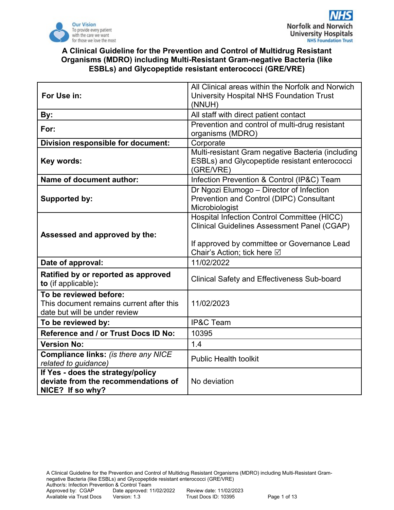

| For Use in:                                                                                         | All Clinical areas within the Norfolk and Norwich<br>University Hospital NHS Foundation Trust                                                                                          |  |  |  |
|-----------------------------------------------------------------------------------------------------|----------------------------------------------------------------------------------------------------------------------------------------------------------------------------------------|--|--|--|
| By:                                                                                                 | (NNUH)<br>All staff with direct patient contact                                                                                                                                        |  |  |  |
| For:                                                                                                | Prevention and control of multi-drug resistant<br>organisms (MDRO)                                                                                                                     |  |  |  |
| Division responsible for document:                                                                  | Corporate                                                                                                                                                                              |  |  |  |
| Key words:                                                                                          | Multi-resistant Gram negative Bacteria (including<br>ESBLs) and Glycopeptide resistant enterococci<br>(GRE/VRE)                                                                        |  |  |  |
| <b>Name of document author:</b>                                                                     | Infection Prevention & Control (IP&C) Team                                                                                                                                             |  |  |  |
| Supported by:                                                                                       | Dr Ngozi Elumogo - Director of Infection<br>Prevention and Control (DIPC) Consultant<br>Microbiologist                                                                                 |  |  |  |
| Assessed and approved by the:                                                                       | <b>Hospital Infection Control Committee (HICC)</b><br><b>Clinical Guidelines Assessment Panel (CGAP)</b><br>If approved by committee or Governance Lead<br>Chair's Action; tick here ⊠ |  |  |  |
| Date of approval:                                                                                   | 11/02/2022                                                                                                                                                                             |  |  |  |
| Ratified by or reported as approved<br>to (if applicable):                                          | <b>Clinical Safety and Effectiveness Sub-board</b>                                                                                                                                     |  |  |  |
| To be reviewed before:<br>This document remains current after this<br>date but will be under review | 11/02/2023                                                                                                                                                                             |  |  |  |
| To be reviewed by:                                                                                  | <b>IP&amp;C Team</b>                                                                                                                                                                   |  |  |  |
| Reference and / or Trust Docs ID No:                                                                | 10395                                                                                                                                                                                  |  |  |  |
| <b>Version No:</b>                                                                                  | 1.4                                                                                                                                                                                    |  |  |  |
| Compliance links: (is there any NICE<br>related to guidance)                                        | <b>Public Health toolkit</b>                                                                                                                                                           |  |  |  |
| If Yes - does the strategy/policy<br>deviate from the recommendations of<br>NICE? If so why?        | No deviation                                                                                                                                                                           |  |  |  |

A Clinical Guideline for the Prevention and Control of Multidrug Resistant Organisms (MDRO) including Multi-Resistant Gramnegative Bacteria (like ESBLs) and Glycopeptide resistant enterococci (GRE/VRE) Author/s: Infection Prevention & Control Team<br>Approved by: CGAP Date approved: 1 Date approved: 11/02/2022 Review date: 11/02/2023<br>Version: 1.3 Trust Docs ID: 10395 Available via Trust Docs Version: 1.3 Trust Docs ID: 10395 Page 1 of 13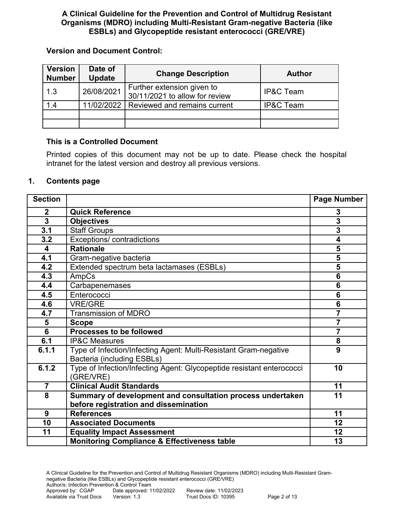### **Version and Document Control:**

| <b>Version</b><br><b>Number</b> | Date of<br><b>Update</b> | <b>Change Description</b>                                    | <b>Author</b>        |
|---------------------------------|--------------------------|--------------------------------------------------------------|----------------------|
| 1.3                             | 26/08/2021               | Further extension given to<br>30/11/2021 to allow for review | <b>IP&amp;C Team</b> |
| 1.4                             | 11/02/2022               | Reviewed and remains current                                 | <b>IP&amp;C Team</b> |
|                                 |                          |                                                              |                      |
|                                 |                          |                                                              |                      |

## **This is a Controlled Document**

Printed copies of this document may not be up to date. Please check the hospital intranet for the latest version and destroy all previous versions.

## **1. Contents page**

| <b>Section</b>          |                                                                                                | Page Number     |
|-------------------------|------------------------------------------------------------------------------------------------|-----------------|
| $\mathbf{2}$            | <b>Quick Reference</b>                                                                         | 3               |
| 3                       | <b>Objectives</b>                                                                              | 3               |
| 3.1                     | <b>Staff Groups</b>                                                                            | 3               |
| 3.2                     | Exceptions/ contradictions                                                                     | 4               |
| $\overline{\mathbf{4}}$ | <b>Rationale</b>                                                                               | 5               |
| 4.1                     | Gram-negative bacteria                                                                         | 5               |
| 4.2                     | Extended spectrum beta lactamases (ESBLs)                                                      | 5               |
| 4.3                     | AmpCs                                                                                          | $6\phantom{1}6$ |
| 4.4                     | Carbapenemases                                                                                 | $6\phantom{1}6$ |
| 4.5                     | Enterococci                                                                                    | $6\phantom{1}6$ |
| 4.6                     | <b>VRE/GRE</b>                                                                                 | $6\phantom{1}6$ |
| 4.7                     | <b>Transmission of MDRO</b>                                                                    | $\overline{7}$  |
| 5                       | <b>Scope</b>                                                                                   | $\overline{7}$  |
| 6                       | <b>Processes to be followed</b>                                                                | $\overline{7}$  |
| 6.1                     | <b>IP&amp;C Measures</b>                                                                       | 8               |
| 6.1.1                   | Type of Infection/Infecting Agent: Multi-Resistant Gram-negative<br>Bacteria (including ESBLs) | 9               |
| 6.1.2                   | Type of Infection/Infecting Agent: Glycopeptide resistant enterococci<br>(GRE/VRE)             | 10              |
| $\overline{7}$          | <b>Clinical Audit Standards</b>                                                                | 11              |
| 8                       | Summary of development and consultation process undertaken                                     | 11              |
|                         | before registration and dissemination                                                          |                 |
| 9                       | <b>References</b>                                                                              | 11              |
| 10                      | <b>Associated Documents</b>                                                                    | 12              |
| 11                      | <b>Equality Impact Assessment</b>                                                              | 12              |
|                         | <b>Monitoring Compliance &amp; Effectiveness table</b>                                         | 13              |

A Clinical Guideline for the Prevention and Control of Multidrug Resistant Organisms (MDRO) including Multi-Resistant Gramnegative Bacteria (like ESBLs) and Glycopeptide resistant enterococci (GRE/VRE) Author/s: Infection Prevention & Control Team<br>Approved by: CGAP Date approved: 11 Date approved: 11/02/2022 Review date: 11/02/2023<br>Version: 1.3 Trust Docs ID: 10395 Available via Trust Docs Version: 1.3 Trust Docs ID: 10395 Page 2 of 13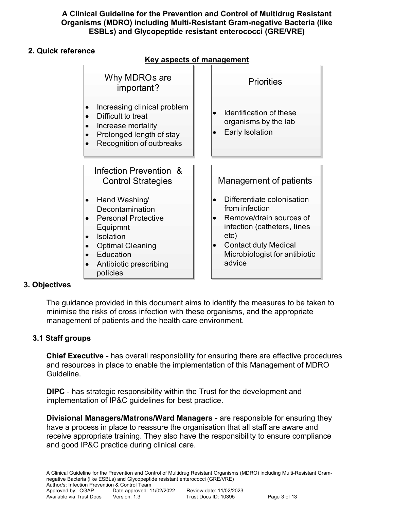## **2. Quick reference**

**Key aspects of management** Why MDROs are important? · Increasing clinical problem Difficult to treat · Increase mortality Prolonged length of stay Recognition of outbreaks **Priorities** · Identification of these organisms by the lab **Early Isolation** Management of patients · Differentiate colonisation from infection Remove/drain sources of infection (catheters, lines etc) Contact duty Medical Microbiologist for antibiotic advice Infection Prevention & Control Strategies · Hand Washing/ Decontamination **Personal Protective** Equipmnt **Isolation** · Optimal Cleaning **Education** · Antibiotic prescribing policies

## **3. Objectives**

The guidance provided in this document aims to identify the measures to be taken to minimise the risks of cross infection with these organisms, and the appropriate management of patients and the health care environment.

# **3.1 Staff groups**

**Chief Executive** - has overall responsibility for ensuring there are effective procedures and resources in place to enable the implementation of this Management of MDRO Guideline.

**DIPC** - has strategic responsibility within the Trust for the development and implementation of IP&C guidelines for best practice.

**Divisional Managers/Matrons/Ward Managers** - are responsible for ensuring they have a process in place to reassure the organisation that all staff are aware and receive appropriate training. They also have the responsibility to ensure compliance and good IP&C practice during clinical care.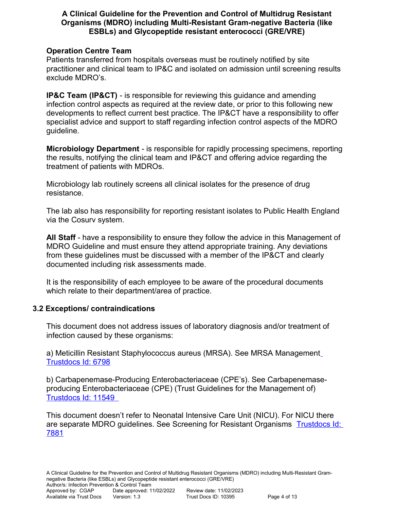#### **Operation Centre Team**

Patients transferred from hospitals overseas must be routinely notified by site practitioner and clinical team to IP&C and isolated on admission until screening results exclude MDRO's.

**IP&C Team (IP&CT)** - is responsible for reviewing this guidance and amending infection control aspects as required at the review date, or prior to this following new developments to reflect current best practice. The IP&CT have a responsibility to offer specialist advice and support to staff regarding infection control aspects of the MDRO guideline.

**Microbiology Department** - is responsible for rapidly processing specimens, reporting the results, notifying the clinical team and IP&CT and offering advice regarding the treatment of patients with MDROs.

Microbiology lab routinely screens all clinical isolates for the presence of drug resistance.

The lab also has responsibility for reporting resistant isolates to Public Health England via the Cosurv system.

**All Staff** - have a responsibility to ensure they follow the advice in this Management of MDRO Guideline and must ensure they attend appropriate training. Any deviations from these guidelines must be discussed with a member of the IP&CT and clearly documented including risk assessments made.

It is the responsibility of each employee to be aware of the procedural documents which relate to their department/area of practice.

## **3.2 Exceptions/ contraindications**

This document does not address issues of laboratory diagnosis and/or treatment of infection caused by these organisms:

a) Meticillin Resistant Staphylococcus aureus (MRSA). See MRSA Management Trustdocs Id: 6798

b) Carbapenemase-Producing Enterobacteriaceae (CPE's). See Carbapenemaseproducing Enterobacteriaceae (CPE) (Trust Guidelines for the Management of) [Trustdocs Id: 11549](http://trustdocs/ViewDoc.aspx?id=11549) 

This document doesn't refer to Neonatal Intensive Care Unit (NICU). For NICU there are separate MDRO guidelines. See Screening for Resistant Organisms [Trustdocs Id:](http://nnvmwebapps01/TrustDocs/ViewDoc.aspx?id=7881)  [7881](http://nnvmwebapps01/TrustDocs/ViewDoc.aspx?id=7881)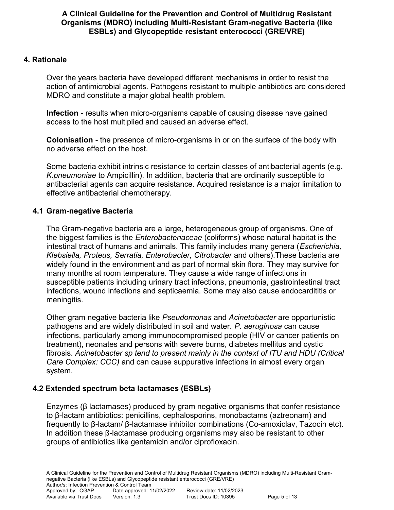## **4. Rationale**

Over the years bacteria have developed different mechanisms in order to resist the action of antimicrobial agents. Pathogens resistant to multiple antibiotics are considered MDRO and constitute a major global health problem.

**Infection - results when micro-organisms capable of causing disease have gained** access to the host multiplied and caused an adverse effect.

**Colonisation -** the presence of micro-organisms in or on the surface of the body with no adverse effect on the host.

Some bacteria exhibit intrinsic resistance to certain classes of antibacterial agents (e.g. *K.pneumoniae* to Ampicillin). In addition, bacteria that are ordinarily susceptible to antibacterial agents can acquire resistance. Acquired resistance is a major limitation to effective antibacterial chemotherapy.

## **4.1 Gram-negative Bacteria**

The Gram-negative bacteria are a large, heterogeneous group of organisms. One of the biggest families is the *Enterobacteriaceae* (coliforms) whose natural habitat is the intestinal tract of humans and animals. This family includes many genera (*Escherichia, Klebsiella, Proteus, Serratia, Enterobacter, Citrobacter* and others).These bacteria are widely found in the environment and as part of normal skin flora. They may survive for many months at room temperature. They cause a wide range of infections in susceptible patients including urinary tract infections, pneumonia, gastrointestinal tract infections, wound infections and septicaemia. Some may also cause endocardititis or meningitis.

Other gram negative bacteria like *Pseudomonas* and *Acinetobacter* are opportunistic pathogens and are widely distributed in soil and water. *P. aeruginosa* can cause infections, particularly among immunocompromised people (HIV or cancer patients on treatment), neonates and persons with severe burns, diabetes mellitus and cystic fibrosis. *Acinetobacter sp tend to present mainly in the context of ITU and HDU (Critical Care Complex: CCC)* and can cause suppurative infections in almost every organ system.

#### **4.2 Extended spectrum beta lactamases (ESBLs)**

Enzymes (β lactamases) produced by gram negative organisms that confer resistance to β-lactam antibiotics: penicillins, cephalosporins, monobactams (aztreonam) and frequently to β-lactam/ β-lactamase inhibitor combinations (Co-amoxiclav, Tazocin etc). In addition these β-lactamase producing organisms may also be resistant to other groups of antibiotics like gentamicin and/or ciprofloxacin.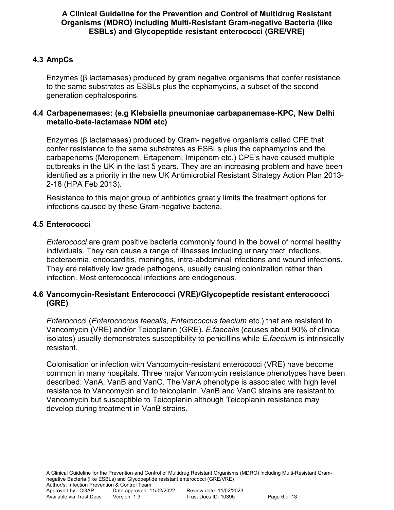## **4.3 AmpCs**

Enzymes (β lactamases) produced by gram negative organisms that confer resistance to the same substrates as ESBLs plus the cephamycins, a subset of the second generation cephalosporins.

#### **4.4 Carbapenemases: (e.g Klebsiella pneumoniae carbapanemase-KPC, New Delhi metallo-beta-lactamase NDM etc)**

Enzymes (β lactamases) produced by Gram- negative organisms called CPE that confer resistance to the same substrates as ESBLs plus the cephamycins and the carbapenems (Meropenem, Ertapenem, Imipenem etc.) CPE's have caused multiple outbreaks in the UK in the last 5 years. They are an increasing problem and have been identified as a priority in the new UK Antimicrobial Resistant Strategy Action Plan 2013- 2-18 (HPA Feb 2013).

Resistance to this major group of antibiotics greatly limits the treatment options for infections caused by these Gram-negative bacteria.

## **4.5 Enterococci**

*Enterococci* are gram positive bacteria commonly found in the bowel of normal healthy individuals. They can cause a range of illnesses including urinary tract infections, bacteraemia, endocarditis, meningitis, intra-abdominal infections and wound infections. They are relatively low grade pathogens, usually causing colonization rather than infection. Most enterococcal infections are endogenous.

## **4.6 Vancomycin-Resistant Enterococci (VRE)/Glycopeptide resistant enterococci (GRE)**

*Enterococc*i (*Enterococcus faecalis, Enterococcus faecium* etc.) that are resistant to Vancomycin (VRE) and/or Teicoplanin (GRE). *E.faecalis* (causes about 90% of clinical isolates) usually demonstrates susceptibility to penicillins while *E.faecium* is intrinsically resistant.

Colonisation or infection with Vancomycin-resistant enterococci (VRE) have become common in many hospitals. Three major Vancomycin resistance phenotypes have been described: VanA, VanB and VanC. The VanA phenotype is associated with high level resistance to Vancomycin and to teicoplanin. VanB and VanC strains are resistant to Vancomycin but susceptible to Teicoplanin although Teicoplanin resistance may develop during treatment in VanB strains.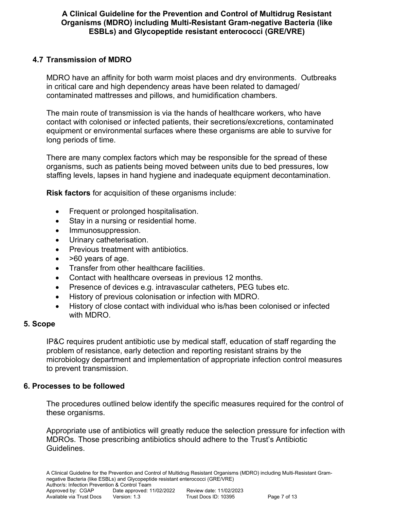## **4.7 Transmission of MDRO**

MDRO have an affinity for both warm moist places and dry environments. Outbreaks in critical care and high dependency areas have been related to damaged/ contaminated mattresses and pillows, and humidification chambers.

The main route of transmission is via the hands of healthcare workers, who have contact with colonised or infected patients, their secretions/excretions, contaminated equipment or environmental surfaces where these organisms are able to survive for long periods of time.

There are many complex factors which may be responsible for the spread of these organisms, such as patients being moved between units due to bed pressures, low staffing levels, lapses in hand hygiene and inadequate equipment decontamination.

**Risk factors** for acquisition of these organisms include:

- Frequent or prolonged hospitalisation.
- Stay in a nursing or residential home.
- Immunosuppression.
- Urinary catheterisation.
- Previous treatment with antibiotics.
- >60 years of age.
- Transfer from other healthcare facilities.
- Contact with healthcare overseas in previous 12 months.
- Presence of devices e.g. intravascular catheters, PEG tubes etc.
- History of previous colonisation or infection with MDRO.
- History of close contact with individual who is/has been colonised or infected with MDRO.

#### **5. Scope**

IP&C requires prudent antibiotic use by medical staff, education of staff regarding the problem of resistance, early detection and reporting resistant strains by the microbiology department and implementation of appropriate infection control measures to prevent transmission.

#### **6. Processes to be followed**

The procedures outlined below identify the specific measures required for the control of these organisms.

Appropriate use of antibiotics will greatly reduce the selection pressure for infection with MDROs. Those prescribing antibiotics should adhere to the Trust's Antibiotic Guidelines.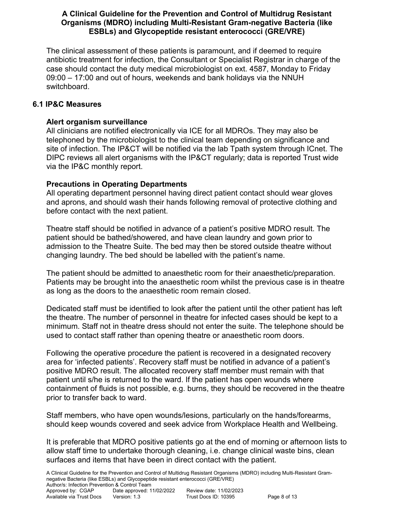The clinical assessment of these patients is paramount, and if deemed to require antibiotic treatment for infection, the Consultant or Specialist Registrar in charge of the case should contact the duty medical microbiologist on ext. 4587, Monday to Friday 09:00 – 17:00 and out of hours, weekends and bank holidays via the NNUH switchboard.

## **6.1 IP&C Measures**

## **Alert organism surveillance**

All clinicians are notified electronically via ICE for all MDROs. They may also be telephoned by the microbiologist to the clinical team depending on significance and site of infection. The IP&CT will be notified via the lab Tpath system through ICnet. The DIPC reviews all alert organisms with the IP&CT regularly; data is reported Trust wide via the IP&C monthly report.

## **Precautions in Operating Departments**

All operating department personnel having direct patient contact should wear gloves and aprons, and should wash their hands following removal of protective clothing and before contact with the next patient.

Theatre staff should be notified in advance of a patient's positive MDRO result. The patient should be bathed/showered, and have clean laundry and gown prior to admission to the Theatre Suite. The bed may then be stored outside theatre without changing laundry. The bed should be labelled with the patient's name.

The patient should be admitted to anaesthetic room for their anaesthetic/preparation. Patients may be brought into the anaesthetic room whilst the previous case is in theatre as long as the doors to the anaesthetic room remain closed.

Dedicated staff must be identified to look after the patient until the other patient has left the theatre. The number of personnel in theatre for infected cases should be kept to a minimum. Staff not in theatre dress should not enter the suite. The telephone should be used to contact staff rather than opening theatre or anaesthetic room doors.

Following the operative procedure the patient is recovered in a designated recovery area for 'infected patients'. Recovery staff must be notified in advance of a patient's positive MDRO result. The allocated recovery staff member must remain with that patient until s/he is returned to the ward. If the patient has open wounds where containment of fluids is not possible, e.g. burns, they should be recovered in the theatre prior to transfer back to ward.

Staff members, who have open wounds/lesions, particularly on the hands/forearms, should keep wounds covered and seek advice from Workplace Health and Wellbeing.

It is preferable that MDRO positive patients go at the end of morning or afternoon lists to allow staff time to undertake thorough cleaning, i.e. change clinical waste bins, clean surfaces and items that have been in direct contact with the patient.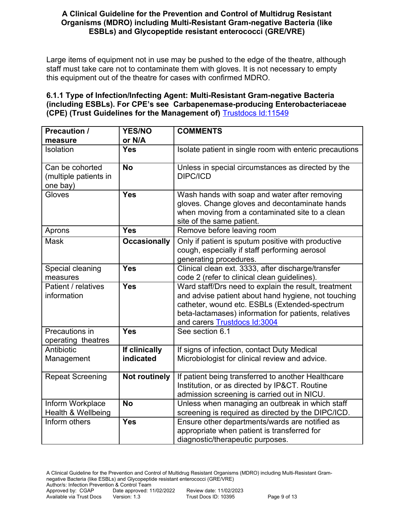Large items of equipment not in use may be pushed to the edge of the theatre, although staff must take care not to contaminate them with gloves. It is not necessary to empty this equipment out of the theatre for cases with confirmed MDRO.

## **6.1.1 Type of Infection/Infecting Agent: Multi-Resistant Gram-negative Bacteria (including ESBLs). For CPE's see Carbapenemase-producing Enterobacteriaceae (CPE) (Trust Guidelines for the Management of)** [Trustdocs Id:11549](http://trustdocs/Doc.aspx?id=11549)

| <b>Precaution /</b><br>measure                       | <b>YES/NO</b><br>or N/A | <b>COMMENTS</b>                                                                                                                                                                                                                                      |
|------------------------------------------------------|-------------------------|------------------------------------------------------------------------------------------------------------------------------------------------------------------------------------------------------------------------------------------------------|
|                                                      | <b>Yes</b>              |                                                                                                                                                                                                                                                      |
| Isolation                                            |                         | Isolate patient in single room with enteric precautions                                                                                                                                                                                              |
| Can be cohorted<br>(multiple patients in<br>one bay) | <b>No</b>               | Unless in special circumstances as directed by the<br><b>DIPC/ICD</b>                                                                                                                                                                                |
| Gloves                                               | <b>Yes</b>              | Wash hands with soap and water after removing<br>gloves. Change gloves and decontaminate hands<br>when moving from a contaminated site to a clean<br>site of the same patient.                                                                       |
| Aprons                                               | <b>Yes</b>              | Remove before leaving room                                                                                                                                                                                                                           |
| <b>Mask</b>                                          | <b>Occasionally</b>     | Only if patient is sputum positive with productive<br>cough, especially if staff performing aerosol<br>generating procedures.                                                                                                                        |
| Special cleaning                                     | <b>Yes</b>              | Clinical clean ext. 3333, after discharge/transfer                                                                                                                                                                                                   |
| measures                                             |                         | code 2 (refer to clinical clean guidelines).                                                                                                                                                                                                         |
| Patient / relatives<br>information                   | <b>Yes</b>              | Ward staff/Drs need to explain the result, treatment<br>and advise patient about hand hygiene, not touching<br>catheter, wound etc. ESBLs (Extended-spectrum<br>beta-lactamases) information for patients, relatives<br>and carers Trustdocs Id:3004 |
| Precautions in<br>operating theatres                 | <b>Yes</b>              | See section 6.1                                                                                                                                                                                                                                      |
| Antibiotic                                           | If clinically           | If signs of infection, contact Duty Medical                                                                                                                                                                                                          |
| Management                                           | indicated               | Microbiologist for clinical review and advice.                                                                                                                                                                                                       |
| <b>Repeat Screening</b>                              | <b>Not routinely</b>    | If patient being transferred to another Healthcare<br>Institution, or as directed by IP&CT. Routine<br>admission screening is carried out in NICU.                                                                                                   |
| Inform Workplace                                     | <b>No</b>               | Unless when managing an outbreak in which staff                                                                                                                                                                                                      |
| Health & Wellbeing                                   |                         | screening is required as directed by the DIPC/ICD.                                                                                                                                                                                                   |
| Inform others                                        | <b>Yes</b>              | Ensure other departments/wards are notified as                                                                                                                                                                                                       |
|                                                      |                         | appropriate when patient is transferred for                                                                                                                                                                                                          |
|                                                      |                         | diagnostic/therapeutic purposes.                                                                                                                                                                                                                     |

A Clinical Guideline for the Prevention and Control of Multidrug Resistant Organisms (MDRO) including Multi-Resistant Gramnegative Bacteria (like ESBLs) and Glycopeptide resistant enterococci (GRE/VRE)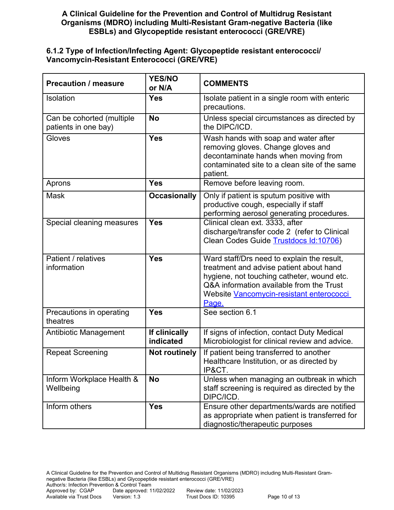#### **6.1.2 Type of Infection/Infecting Agent: Glycopeptide resistant enterococci/ Vancomycin-Resistant Enterococci (GRE/VRE)**

| <b>Precaution / measure</b>                       | <b>YES/NO</b><br>or N/A    | <b>COMMENTS</b>                                                                                                                                                                                                                             |  |
|---------------------------------------------------|----------------------------|---------------------------------------------------------------------------------------------------------------------------------------------------------------------------------------------------------------------------------------------|--|
| Isolation                                         | <b>Yes</b>                 | Isolate patient in a single room with enteric<br>precautions.                                                                                                                                                                               |  |
| Can be cohorted (multiple<br>patients in one bay) | <b>No</b>                  | Unless special circumstances as directed by<br>the DIPC/ICD.                                                                                                                                                                                |  |
| Gloves                                            | <b>Yes</b>                 | Wash hands with soap and water after<br>removing gloves. Change gloves and<br>decontaminate hands when moving from<br>contaminated site to a clean site of the same<br>patient.                                                             |  |
| Aprons                                            | <b>Yes</b>                 | Remove before leaving room.                                                                                                                                                                                                                 |  |
| <b>Mask</b>                                       | <b>Occasionally</b>        | Only if patient is sputum positive with<br>productive cough, especially if staff<br>performing aerosol generating procedures.                                                                                                               |  |
| Special cleaning measures                         | <b>Yes</b>                 | Clinical clean ext. 3333, after<br>discharge/transfer code 2 (refer to Clinical<br>Clean Codes Guide Trustdocs Id:10706)                                                                                                                    |  |
| Patient / relatives<br>information                | <b>Yes</b>                 | Ward staff/Drs need to explain the result,<br>treatment and advise patient about hand<br>hygiene, not touching catheter, wound etc.<br>Q&A information available from the Trust<br>Website <b>Vancomycin-resistant enterococci</b><br>Page. |  |
| Precautions in operating<br>theatres              | <b>Yes</b>                 | See section 6.1                                                                                                                                                                                                                             |  |
| <b>Antibiotic Management</b>                      | If clinically<br>indicated | If signs of infection, contact Duty Medical<br>Microbiologist for clinical review and advice.                                                                                                                                               |  |
| <b>Repeat Screening</b>                           | <b>Not routinely</b>       | If patient being transferred to another<br>Healthcare Institution, or as directed by<br>IP&CT.                                                                                                                                              |  |
| Inform Workplace Health &<br>Wellbeing            | <b>No</b>                  | Unless when managing an outbreak in which<br>staff screening is required as directed by the<br>DIPC/ICD.                                                                                                                                    |  |
| Inform others                                     | <b>Yes</b>                 | Ensure other departments/wards are notified<br>as appropriate when patient is transferred for<br>diagnostic/therapeutic purposes                                                                                                            |  |

A Clinical Guideline for the Prevention and Control of Multidrug Resistant Organisms (MDRO) including Multi-Resistant Gramnegative Bacteria (like ESBLs) and Glycopeptide resistant enterococci (GRE/VRE) Author/s: Infection Prevention & Control Team<br>Approved by: CGAP Date approved: 11 Date approved: 11/02/2022 Review date: 11/02/2023<br>Version: 1.3 Trust Docs ID: 10395 Available via Trust Docs Version: 1.3 Trust Docs ID: 10395 Page 10 of 13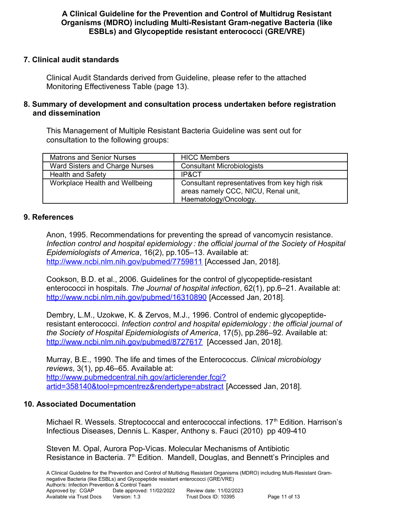## **7. Clinical audit standards**

Clinical Audit Standards derived from Guideline, please refer to the attached Monitoring Effectiveness Table (page 13).

#### **8. Summary of development and consultation process undertaken before registration and dissemination**

This Management of Multiple Resistant Bacteria Guideline was sent out for consultation to the following groups:

| <b>Matrons and Senior Nurses</b> | <b>HICC Members</b>                                                                                           |
|----------------------------------|---------------------------------------------------------------------------------------------------------------|
| Ward Sisters and Charge Nurses   | <b>Consultant Microbiologists</b>                                                                             |
| <b>Health and Safety</b>         | IP&CT                                                                                                         |
| Workplace Health and Wellbeing   | Consultant representatives from key high risk<br>areas namely CCC, NICU, Renal unit,<br>Haematology/Oncology. |

#### **9. References**

Anon, 1995. Recommendations for preventing the spread of vancomycin resistance. *Infection control and hospital epidemiology : the official journal of the Society of Hospital Epidemiologists of America*, 16(2), pp.105–13. Available at: <http://www.ncbi.nlm.nih.gov/pubmed/7759811>[Accessed Jan, 2018].

Cookson, B.D. et al., 2006. Guidelines for the control of glycopeptide-resistant enterococci in hospitals. *The Journal of hospital infection*, 62(1), pp.6–21. Available at: <http://www.ncbi.nlm.nih.gov/pubmed/16310890>[Accessed Jan, 2018].

Dembry, L.M., Uzokwe, K. & Zervos, M.J., 1996. Control of endemic glycopeptideresistant enterococci. *Infection control and hospital epidemiology : the official journal of the Society of Hospital Epidemiologists of America*, 17(5), pp.286–92. Available at: <http://www.ncbi.nlm.nih.gov/pubmed/8727617>[Accessed Jan, 2018].

Murray, B.E., 1990. The life and times of the Enterococcus. *Clinical microbiology reviews*, 3(1), pp.46–65. Available at: [http://www.pubmedcentral.nih.gov/articlerender.fcgi?](http://www.pubmedcentral.nih.gov/articlerender.fcgi?artid=358140&tool=pmcentrez&rendertype=abstract) [artid=358140&tool=pmcentrez&rendertype=abstract](http://www.pubmedcentral.nih.gov/articlerender.fcgi?artid=358140&tool=pmcentrez&rendertype=abstract) [Accessed Jan, 2018].

#### **10. Associated Documentation**

Michael R. Wessels. Streptococcal and enterococcal infections. 17<sup>th</sup> Edition. Harrison's Infectious Diseases, Dennis L. Kasper, Anthony s. Fauci (2010) pp 409-410

Steven M. Opal, Aurora Pop-Vicas. Molecular Mechanisms of Antibiotic Resistance in Bacteria. 7<sup>th</sup> Edition. Mandell, Douglas, and Bennett's Principles and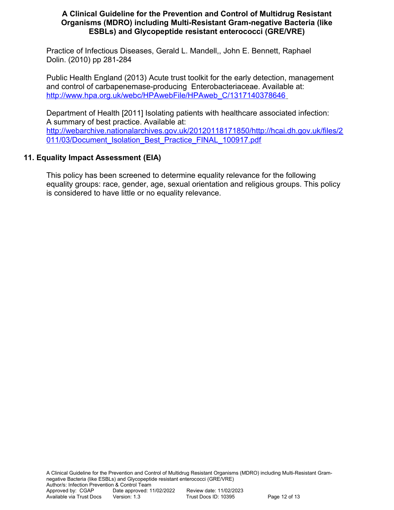Practice of Infectious Diseases, Gerald L. Mandell,, John E. Bennett, Raphael Dolin. (2010) pp 281-284

Public Health England (2013) Acute trust toolkit for the early detection, management and control of carbapenemase-producing Enterobacteriaceae. Available at:  [http://www.hpa.org.uk/webc/HPAwebFile/HPAweb\\_C/1317140378646](http://www.hpa.org.uk/webc/HPAwebFile/HPAweb_C/1317140378646)

Department of Health [2011] Isolating patients with healthcare associated infection: A summary of best practice. Available at: [http://webarchive.nationalarchives.gov.uk/20120118171850/http://hcai.dh.gov.uk/files/2](http://webarchive.nationalarchives.gov.uk/20120118171850/http://hcai.dh.gov.uk/files/2011/03/Document_Isolation_Best_Practice_FINAL_100917.pdf) [011/03/Document\\_Isolation\\_Best\\_Practice\\_FINAL\\_100917.pdf](http://webarchive.nationalarchives.gov.uk/20120118171850/http://hcai.dh.gov.uk/files/2011/03/Document_Isolation_Best_Practice_FINAL_100917.pdf)

## **11. Equality Impact Assessment (EIA)**

This policy has been screened to determine equality relevance for the following equality groups: race, gender, age, sexual orientation and religious groups. This policy is considered to have little or no equality relevance.